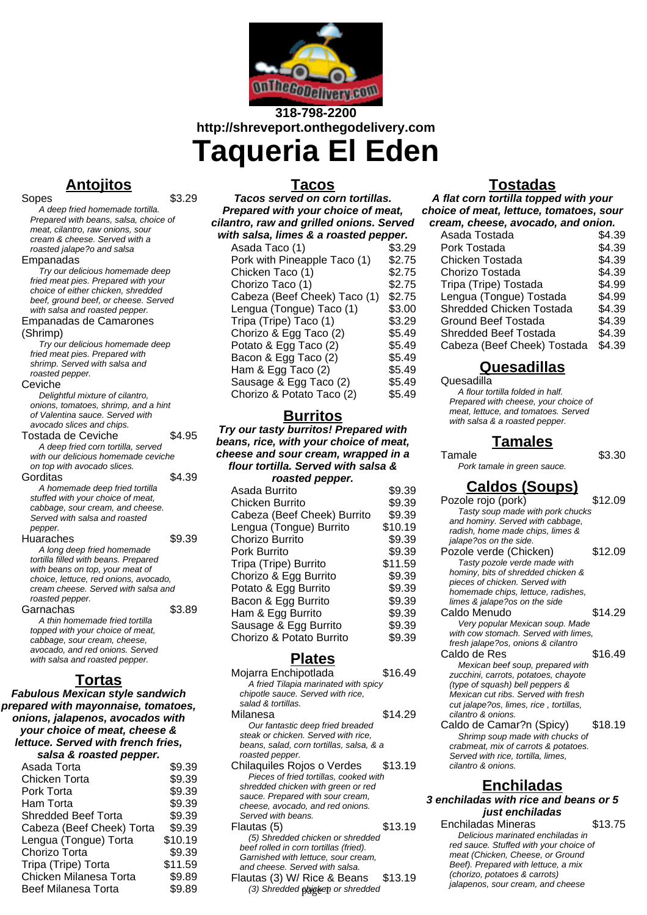

# **318-798-2200 http://shreveport.onthegodelivery.com Taqueria El Eden**

## **Antojitos**

Sopes \$3.29

A deep fried homemade tortilla. Prepared with beans, salsa, choice of meat, cilantro, raw onions, sour cream & cheese. Served with a roasted jalape?o and salsa Empanadas

Try our delicious homemade deep fried meat pies. Prepared with your choice of either chicken, shredded beef, ground beef, or cheese. Served with salsa and roasted pepper.

# Empanadas de Camarones

(Shrimp)

Try our delicious homemade deep fried meat pies. Prepared with shrimp. Served with salsa and roasted pepper.

#### Ceviche

Delightful mixture of cilantro, onions, tomatoes, shrimp, and a hint of Valentina sauce. Served with avocado slices and chips.

Tostada de Ceviche  $$4.95$ A deep fried corn tortilla, served with our delicious homemade ceviche on top with avocado slices. Gorditas \$4.39

A homemade deep fried tortilla stuffed with your choice of meat. cabbage, sour cream, and cheese. Served with salsa and roasted pepper.

Huaraches \$9.39 A long deep fried homemade tortilla filled with beans. Prepared with beans on top, your meat of choice, lettuce, red onions, avocado, cream cheese. Served with salsa and roasted pepper. Garnachas \$3.89

| <b>UULLUUR</b>                   | ww. |
|----------------------------------|-----|
| A thin homemade fried tortilla   |     |
| topped with your choice of meat, |     |
| cabbage, sour cream, cheese,     |     |
| avocado, and red onions. Served  |     |
| with salsa and roasted pepper.   |     |
|                                  |     |

# **Tortas**

**Fabulous Mexican style sandwich prepared with mayonnaise, tomatoes, onions, jalapenos, avocados with your choice of meat, cheese & lettuce. Served with french fries, salsa & roasted pepper.** Asada Torta \$9.39 Chicken Torta \$9.39 Pork Torta Ham Torta \$9.39 Shredded Beef Torta \$9.39 Cabeza (Beef Cheek) Torta \$9.39 Lengua (Tongue) Torta \$10.19 Chorizo Torta \$9.39

Tripa (Tripe) Torta \$11.59 Chicken Milanesa Torta \$9.89 Beef Milanesa Torta \$9.89

### **Tacos**

**Tacos served on corn tortillas. Prepared with your choice of meat, cilantro, raw and grilled onions. Served with salsa, limes & a roasted pepper.**

Asada Taco  $(1)$  \$3.29 Pork with Pineapple Taco (1) \$2.75 Chicken Taco  $(1)$  \$2.75 Chorizo Taco  $(1)$  \$2.75 Cabeza (Beef Cheek) Taco (1) \$2.75 Lengua (Tongue) Taco (1) \$3.00 Tripa (Tripe) Taco (1) \$3.29 Chorizo & Egg Taco (2) \$5.49 Potato & Egg Taco (2) \$5.49 Bacon & Egg Taco (2) \$5.49 Ham & Egg Taco (2) \$5.49 Sausage & Egg Taco (2) \$5.49 Chorizo & Potato Taco (2) \$5.49

## **Burritos**

**Try our tasty burritos! Prepared with beans, rice, with your choice of meat, cheese and sour cream, wrapped in a flour tortilla. Served with salsa & roasted pepper.**

| \$9.39  |
|---------|
| \$9.39  |
| \$9.39  |
| \$10.19 |
| \$9.39  |
| \$9.39  |
| \$11.59 |
| \$9.39  |
| \$9.39  |
| \$9.39  |
| \$9.39  |
| \$9.39  |
| \$9.39  |
|         |

## **Plates**

| iuw                                      |         |
|------------------------------------------|---------|
| Mojarra Enchipotlada                     | \$16.49 |
| A fried Tilapia marinated with spicy     |         |
| chipotle sauce. Served with rice,        |         |
| salad & tortillas.                       |         |
| Milanesa                                 | \$14.29 |
| Our fantastic deep fried breaded         |         |
| steak or chicken. Served with rice,      |         |
| beans, salad, corn tortillas, salsa, & a |         |
| roasted pepper.                          |         |
| Chilaquiles Rojos o Verdes               | \$13.19 |
| Pieces of fried tortillas, cooked with   |         |
| shredded chicken with green or red       |         |
| sauce. Prepared with sour cream,         |         |
| cheese, avocado, and red onions.         |         |
| Served with beans.                       |         |
| Flautas (5)                              | \$13.19 |
| (5) Shredded chicken or shredded         |         |
| beef rolled in corn tortillas (fried).   |         |
| Garnished with lettuce, sour cream,      |         |
| and cheese. Served with salsa.           |         |
| Flautas (3) W/ Rice & Beans              | \$13.19 |

(3) Shredded phicken or shredded

## **Tostadas**

**A flat corn tortilla topped with your choice of meat, lettuce, tomatoes, sour cream, cheese, avocado, and onion.**

| cream, cheese, avocado, and omon. |        |  |
|-----------------------------------|--------|--|
| Asada Tostada                     | \$4.39 |  |
| Pork Tostada                      | \$4.39 |  |
| Chicken Tostada                   | \$4.39 |  |
| Chorizo Tostada                   | \$4.39 |  |
| Tripa (Tripe) Tostada             | \$4.99 |  |
| Lengua (Tongue) Tostada           | \$4.99 |  |
| Shredded Chicken Tostada          | \$4.39 |  |
| <b>Ground Beef Tostada</b>        | \$4.39 |  |
| <b>Shredded Beef Tostada</b>      | \$4.39 |  |
| Cabeza (Beef Cheek) Tostada       | \$4.39 |  |
|                                   |        |  |

# **Quesadillas**

Quesadilla

A flour tortilla folded in half. Prepared with cheese, your choice of meat, lettuce, and tomatoes. Served with salsa & a roasted pepper.

## **Tamales**

Tamale \$3.30 Pork tamale in green sauce.

# **Caldos (Soups)**

| Pozole rojo (pork)                     | \$12.09 |
|----------------------------------------|---------|
| Tasty soup made with pork chucks       |         |
| and hominy. Served with cabbage,       |         |
| radish, home made chips, limes &       |         |
| jalape?os on the side.                 |         |
| Pozole verde (Chicken)                 | \$12.09 |
| Tasty pozole verde made with           |         |
| hominy, bits of shredded chicken &     |         |
| pieces of chicken. Served with         |         |
| homemade chips, lettuce, radishes,     |         |
| limes & jalape?os on the side          |         |
| Caldo Menudo                           | \$14.29 |
| Very popular Mexican soup. Made        |         |
| with cow stomach. Served with limes,   |         |
| fresh jalape?os, onions & cilantro     |         |
| Caldo de Res                           | \$16.49 |
| Mexican beef soup, prepared with       |         |
| zucchini, carrots, potatoes, chayote   |         |
| (type of squash) bell peppers &        |         |
| Mexican cut ribs. Served with fresh    |         |
| cut jalape?os, limes, rice, tortillas, |         |
| cilantro & onions.                     |         |
| Caldo de Camar?n (Spicy)               | \$18.19 |
| Shrimp soup made with chucks of        |         |
| crabmeat, mix of carrots & potatoes.   |         |
| Served with rice, tortilla, limes,     |         |
| cilantro & onions.                     |         |
|                                        |         |
| Enchiladas                             |         |

#### **3 enchiladas with rice and beans or 5 just enchiladas**

Enchiladas Mineras \$13.75 Delicious marinated enchiladas in red sauce. Stuffed with your choice of meat (Chicken, Cheese, or Ground Beef). Prepared with lettuce, a mix (chorizo, potatoes & carrots) jalapenos, sour cream, and cheese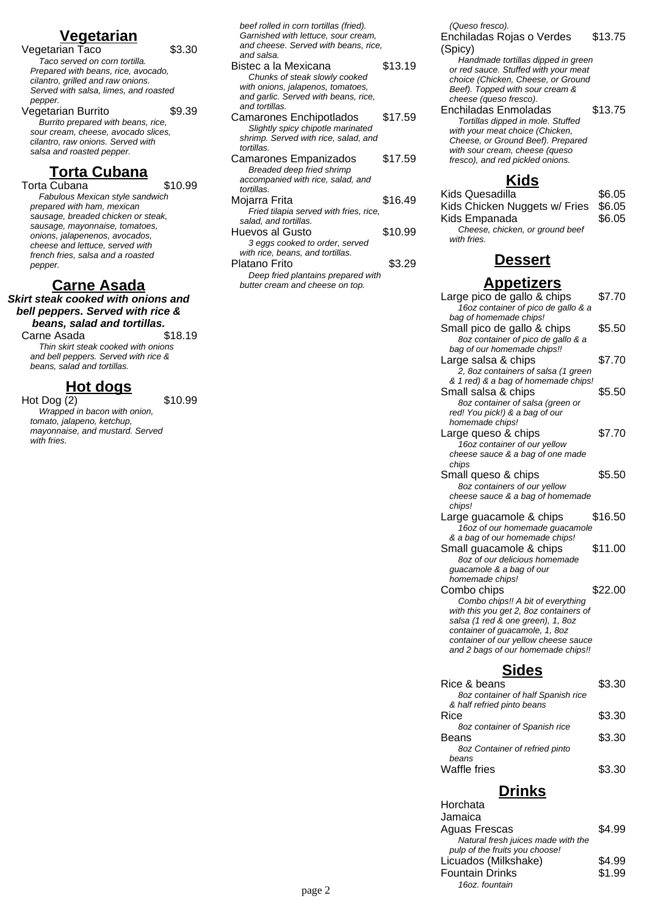## **Vegetarian**

Vegetarian Taco \$3.30 Taco served on corn tortilla. Prepared with beans, rice, avocado, cilantro, grilled and raw onions. Served with salsa, limes, and roasted pepper.

Vegetarian Burrito \$9.39 Burrito prepared with beans, rice, sour cream, cheese, avocado slices, cilantro, raw onions. Served with salsa and roasted pepper.

### **Torta Cubana**

Torta Cubana  $$10.99$ Fabulous Mexican style sandwich prepared with ham, mexican sausage, breaded chicken or steak, sausage, mayonnaise, tomatoes, onions, jalapenenos, avocados, cheese and lettuce, served with french fries, salsa and a roasted pepper.

### **Carne Asada**

#### **Skirt steak cooked with onions and bell peppers. Served with rice & beans, salad and tortillas.** Carne Asada  $$18.19$

Thin skirt steak cooked with onions and bell peppers. Served with rice & beans, salad and tortillas.

### **Hot dogs**

Hot Dog  $\overline{(2)}$  \$10.99 Wrapped in bacon with onion, tomato, jalapeno, ketchup, mayonnaise, and mustard. Served with fries.

beef rolled in corn tortillas (fried). Garnished with lettuce, sour cream, Conrad with beans

| and cheese. Served with beans, nce,<br>and salsa. |         |
|---------------------------------------------------|---------|
| Bistec a la Mexicana                              | \$13.19 |
| Chunks of steak slowly cooked                     |         |
| with onions, jalapenos, tomatoes,                 |         |
| and garlic. Served with beans, rice,              |         |
| and tortillas.                                    |         |
| <b>Camarones Enchipotlados</b>                    | \$17.59 |
| Slightly spicy chipotle marinated                 |         |
| shrimp. Served with rice, salad, and              |         |
| tortillas.                                        |         |
|                                                   |         |
| Camarones Empanizados                             | \$17.59 |
| Breaded deep fried shrimp                         |         |
| accompanied with rice, salad, and                 |         |
| tortillas.                                        |         |
| Mojarra Frita                                     | \$16.49 |
| Fried tilapia served with fries, rice,            |         |
| salad, and tortillas.                             |         |
| Huevos al Gusto                                   | \$10.99 |
| 3 eggs cooked to order, served                    |         |
| with rice, beans, and tortillas.                  |         |
| Platano Frito                                     | \$3.29  |
| Deep fried plantains prepared with                |         |
| butter cream and cheese on top.                   |         |
|                                                   |         |

(Queso fresco).

- Enchiladas Rojas o Verdes (Spicy) \$13.75
	- Handmade tortillas dipped in green or red sauce. Stuffed with your meat choice (Chicken, Cheese, or Ground Beef). Topped with sour cream & cheese (queso fresco).
- Enchiladas Enmoladas \$13.75 Tortillas dipped in mole. Stuffed with your meat choice (Chicken, Cheese, or Ground Beef). Prepared with sour cream, cheese (queso fresco), and red pickled onions.

## **Kids**

| Kids Quesadilla                      | \$6.05 |
|--------------------------------------|--------|
| Kids Chicken Nuggets w/ Fries \$6.05 |        |
| Kids Empanada                        | \$6.05 |
| Cheese, chicken, or ground beef      |        |
| with fries.                          |        |

## **Dessert**

### **Appetizers**

| Large pico de gallo & chips<br>16oz container of pico de gallo & a                                                                                                                                                                                                 | \$7.70  |
|--------------------------------------------------------------------------------------------------------------------------------------------------------------------------------------------------------------------------------------------------------------------|---------|
| bag of homemade chips!<br>Small pico de gallo & chips<br>8oz container of pico de gallo & a                                                                                                                                                                        | \$5.50  |
| bag of our homemade chips!!<br>Large salsa & chips<br>2, 8oz containers of salsa (1 green                                                                                                                                                                          | \$7.70  |
| & 1 red) & a bag of homemade chips!<br>Small salsa & chips<br>8oz container of salsa (green or                                                                                                                                                                     | \$5.50  |
| red! You pick!) & a bag of our<br>homemade chips!<br>Large queso & chips                                                                                                                                                                                           | \$7.70  |
| 16oz container of our yellow<br>cheese sauce & a bag of one made<br>chips                                                                                                                                                                                          |         |
| Small queso & chips<br>8oz containers of our yellow<br>cheese sauce & a bag of homemade                                                                                                                                                                            | \$5.50  |
| chips!<br>Large guacamole & chips<br>16oz of our homemade guacamole                                                                                                                                                                                                | \$16.50 |
| & a bag of our homemade chips!<br>Small guacamole & chips<br>8oz of our delicious homemade<br>guacamole & a bag of our                                                                                                                                             | \$11.00 |
| homemade chips!<br>Combo chips<br>Combo chips!! A bit of everything<br>with this you get 2, 8oz containers of<br>salsa (1 red & one green), 1, 8oz<br>container of guacamole, 1, 80z<br>container of our yellow cheese sauce<br>and 2 bags of our homemade chips!! | \$22.00 |
|                                                                                                                                                                                                                                                                    |         |

### **Sides**

| Rice & beans                       | \$3.30 |
|------------------------------------|--------|
| 8oz container of half Spanish rice |        |
| & half refried pinto beans         |        |
| Rice                               | \$3.30 |
| 8oz container of Spanish rice      |        |
| Beans                              | \$3.30 |
| 8oz Container of refried pinto     |        |
| beans                              |        |
| <b>Waffle fries</b>                | \$3.30 |

## **Drinks**

| Horchata                                                             |        |
|----------------------------------------------------------------------|--------|
| Jamaica                                                              |        |
| Aguas Frescas                                                        | \$4.99 |
| Natural fresh juices made with the<br>pulp of the fruits you choose! |        |
| Licuados (Milkshake)                                                 | \$4.99 |
| <b>Fountain Drinks</b>                                               | \$1.99 |
| 16oz. fountain                                                       |        |
|                                                                      |        |